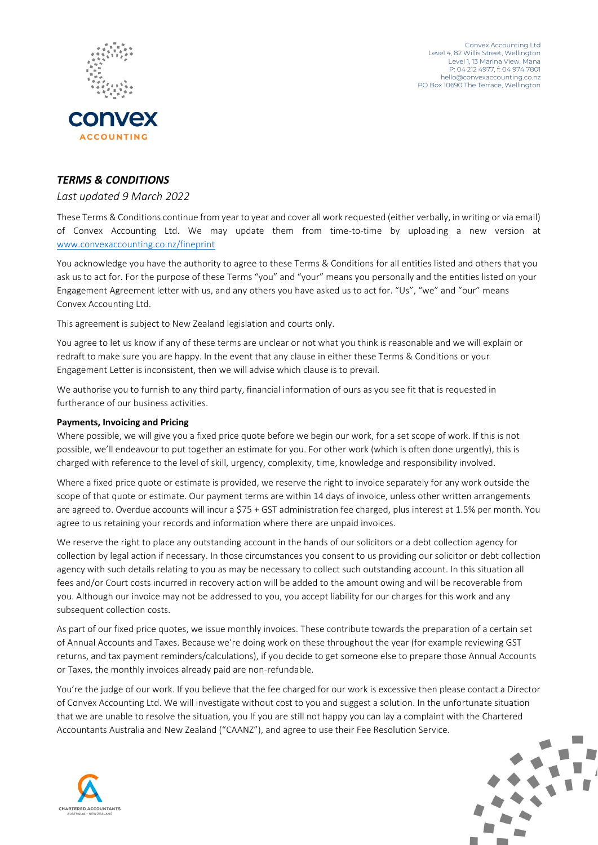



# *TERMS & CONDITIONS*

## *Last updated 9 March 2022*

These Terms & Conditions continue from year to year and cover all work requested (either verbally, in writing or via email) of Convex Accounting Ltd. We may update them from time-to-time by uploading a new version at [www.convexaccounting.co.nz/fineprint](http://www.convexaccounting.co.nz/fineprint)

You acknowledge you have the authority to agree to these Terms & Conditions for all entities listed and others that you ask us to act for. For the purpose of these Terms "you" and "your" means you personally and the entities listed on your Engagement Agreement letter with us, and any others you have asked us to act for. "Us", "we" and "our" means Convex Accounting Ltd.

This agreement is subject to New Zealand legislation and courts only.

You agree to let us know if any of these terms are unclear or not what you think is reasonable and we will explain or redraft to make sure you are happy. In the event that any clause in either these Terms & Conditions or your Engagement Letter is inconsistent, then we will advise which clause is to prevail.

We authorise you to furnish to any third party, financial information of ours as you see fit that is requested in furtherance of our business activities.

### **Payments, Invoicing and Pricing**

Where possible, we will give you a fixed price quote before we begin our work, for a set scope of work. If this is not possible, we'll endeavour to put together an estimate for you. For other work (which is often done urgently), this is charged with reference to the level of skill, urgency, complexity, time, knowledge and responsibility involved.

Where a fixed price quote or estimate is provided, we reserve the right to invoice separately for any work outside the scope of that quote or estimate. Our payment terms are within 14 days of invoice, unless other written arrangements are agreed to. Overdue accounts will incur a \$75 + GST administration fee charged, plus interest at 1.5% per month. You agree to us retaining your records and information where there are unpaid invoices.

We reserve the right to place any outstanding account in the hands of our solicitors or a debt collection agency for collection by legal action if necessary. In those circumstances you consent to us providing our solicitor or debt collection agency with such details relating to you as may be necessary to collect such outstanding account. In this situation all fees and/or Court costs incurred in recovery action will be added to the amount owing and will be recoverable from you. Although our invoice may not be addressed to you, you accept liability for our charges for this work and any subsequent collection costs.

As part of our fixed price quotes, we issue monthly invoices. These contribute towards the preparation of a certain set of Annual Accounts and Taxes. Because we're doing work on these throughout the year (for example reviewing GST returns, and tax payment reminders/calculations), if you decide to get someone else to prepare those Annual Accounts or Taxes, the monthly invoices already paid are non-refundable.

You're the judge of our work. If you believe that the fee charged for our work is excessive then please contact a Director of Convex Accounting Ltd. We will investigate without cost to you and suggest a solution. In the unfortunate situation that we are unable to resolve the situation, you If you are still not happy you can lay a complaint with the Chartered Accountants Australia and New Zealand ("CAANZ"), and agree to use their Fee Resolution Service.



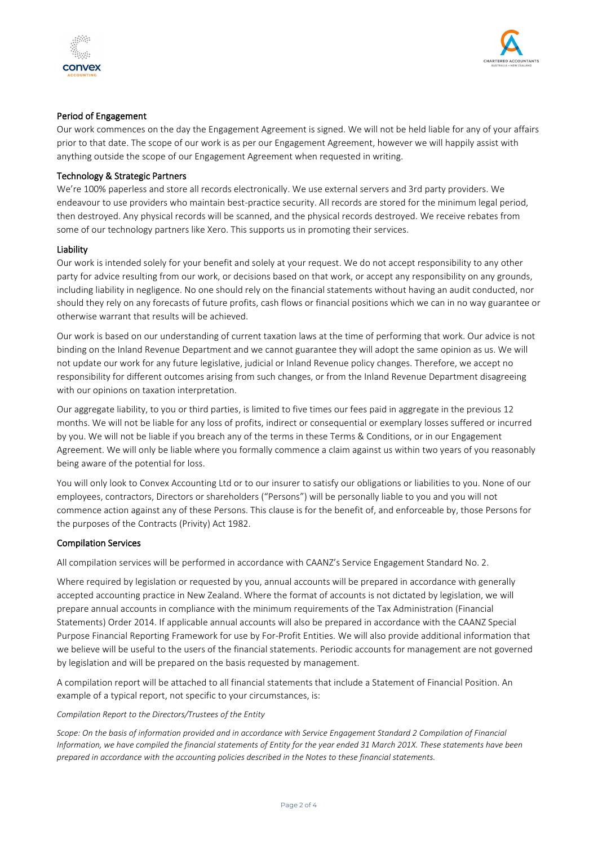



### Period of Engagement

Our work commences on the day the Engagement Agreement is signed. We will not be held liable for any of your affairs prior to that date. The scope of our work is as per our Engagement Agreement, however we will happily assist with anything outside the scope of our Engagement Agreement when requested in writing.

#### Technology & Strategic Partners

We're 100% paperless and store all records electronically. We use external servers and 3rd party providers. We endeavour to use providers who maintain best-practice security. All records are stored for the minimum legal period, then destroyed. Any physical records will be scanned, and the physical records destroyed. We receive rebates from some of our technology partners like Xero. This supports us in promoting their services.

#### Liability

Our work is intended solely for your benefit and solely at your request. We do not accept responsibility to any other party for advice resulting from our work, or decisions based on that work, or accept any responsibility on any grounds, including liability in negligence. No one should rely on the financial statements without having an audit conducted, nor should they rely on any forecasts of future profits, cash flows or financial positions which we can in no way guarantee or otherwise warrant that results will be achieved.

Our work is based on our understanding of current taxation laws at the time of performing that work. Our advice is not binding on the Inland Revenue Department and we cannot guarantee they will adopt the same opinion as us. We will not update our work for any future legislative, judicial or Inland Revenue policy changes. Therefore, we accept no responsibility for different outcomes arising from such changes, or from the Inland Revenue Department disagreeing with our opinions on taxation interpretation.

Our aggregate liability, to you or third parties, is limited to five times our fees paid in aggregate in the previous 12 months. We will not be liable for any loss of profits, indirect or consequential or exemplary losses suffered or incurred by you. We will not be liable if you breach any of the terms in these Terms & Conditions, or in our Engagement Agreement. We will only be liable where you formally commence a claim against us within two years of you reasonably being aware of the potential for loss.

You will only look to Convex Accounting Ltd or to our insurer to satisfy our obligations or liabilities to you. None of our employees, contractors, Directors or shareholders ("Persons") will be personally liable to you and you will not commence action against any of these Persons. This clause is for the benefit of, and enforceable by, those Persons for the purposes of the Contracts (Privity) Act 1982.

#### Compilation Services

All compilation services will be performed in accordance with CAANZ's Service Engagement Standard No. 2.

Where required by legislation or requested by you, annual accounts will be prepared in accordance with generally accepted accounting practice in New Zealand. Where the format of accounts is not dictated by legislation, we will prepare annual accounts in compliance with the minimum requirements of the Tax Administration (Financial Statements) Order 2014. If applicable annual accounts will also be prepared in accordance with the CAANZ Special Purpose Financial Reporting Framework for use by For-Profit Entities. We will also provide additional information that we believe will be useful to the users of the financial statements. Periodic accounts for management are not governed by legislation and will be prepared on the basis requested by management.

A compilation report will be attached to all financial statements that include a Statement of Financial Position. An example of a typical report, not specific to your circumstances, is:

#### *Compilation Report to the Directors/Trustees of the Entity*

*Scope: On the basis of information provided and in accordance with Service Engagement Standard 2 Compilation of Financial Information, we have compiled the financial statements of Entity for the year ended 31 March 201X. These statements have been prepared in accordance with the accounting policies described in the Notes to these financial statements.*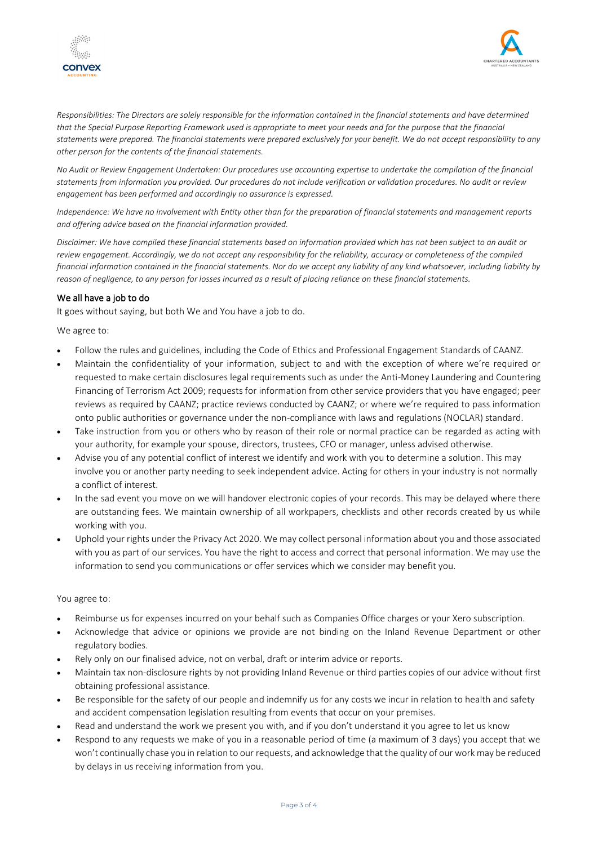



*Responsibilities: The Directors are solely responsible for the information contained in the financial statements and have determined that the Special Purpose Reporting Framework used is appropriate to meet your needs and for the purpose that the financial statements were prepared. The financial statements were prepared exclusively for your benefit. We do not accept responsibility to any other person for the contents of the financial statements.* 

*No Audit or Review Engagement Undertaken: Our procedures use accounting expertise to undertake the compilation of the financial statements from information you provided. Our procedures do not include verification or validation procedures. No audit or review engagement has been performed and accordingly no assurance is expressed.* 

*Independence: We have no involvement with Entity other than for the preparation of financial statements and management reports and offering advice based on the financial information provided.* 

*Disclaimer: We have compiled these financial statements based on information provided which has not been subject to an audit or review engagement. Accordingly, we do not accept any responsibility for the reliability, accuracy or completeness of the compiled financial information contained in the financial statements. Nor do we accept any liability of any kind whatsoever, including liability by reason of negligence, to any person for losses incurred as a result of placing reliance on these financial statements.*

#### We all have a job to do

It goes without saying, but both We and You have a job to do.

We agree to:

- Follow the rules and guidelines, including the Code of Ethics and Professional Engagement Standards of CAANZ.
- Maintain the confidentiality of your information, subject to and with the exception of where we're required or requested to make certain disclosures legal requirements such as under the Anti-Money Laundering and Countering Financing of Terrorism Act 2009; requests for information from other service providers that you have engaged; peer reviews as required by CAANZ; practice reviews conducted by CAANZ; or where we're required to pass information onto public authorities or governance under the non-compliance with laws and regulations (NOCLAR) standard.
- Take instruction from you or others who by reason of their role or normal practice can be regarded as acting with your authority, for example your spouse, directors, trustees, CFO or manager, unless advised otherwise.
- Advise you of any potential conflict of interest we identify and work with you to determine a solution. This may involve you or another party needing to seek independent advice. Acting for others in your industry is not normally a conflict of interest.
- In the sad event you move on we will handover electronic copies of your records. This may be delayed where there are outstanding fees. We maintain ownership of all workpapers, checklists and other records created by us while working with you.
- Uphold your rights under the Privacy Act 2020. We may collect personal information about you and those associated with you as part of our services. You have the right to access and correct that personal information. We may use the information to send you communications or offer services which we consider may benefit you.

#### You agree to:

- Reimburse us for expenses incurred on your behalf such as Companies Office charges or your Xero subscription.
- Acknowledge that advice or opinions we provide are not binding on the Inland Revenue Department or other regulatory bodies.
- Rely only on our finalised advice, not on verbal, draft or interim advice or reports.
- Maintain tax non-disclosure rights by not providing Inland Revenue or third parties copies of our advice without first obtaining professional assistance.
- Be responsible for the safety of our people and indemnify us for any costs we incur in relation to health and safety and accident compensation legislation resulting from events that occur on your premises.
- Read and understand the work we present you with, and if you don't understand it you agree to let us know
- Respond to any requests we make of you in a reasonable period of time (a maximum of 3 days) you accept that we won't continually chase you in relation to our requests, and acknowledge that the quality of our work may be reduced by delays in us receiving information from you.